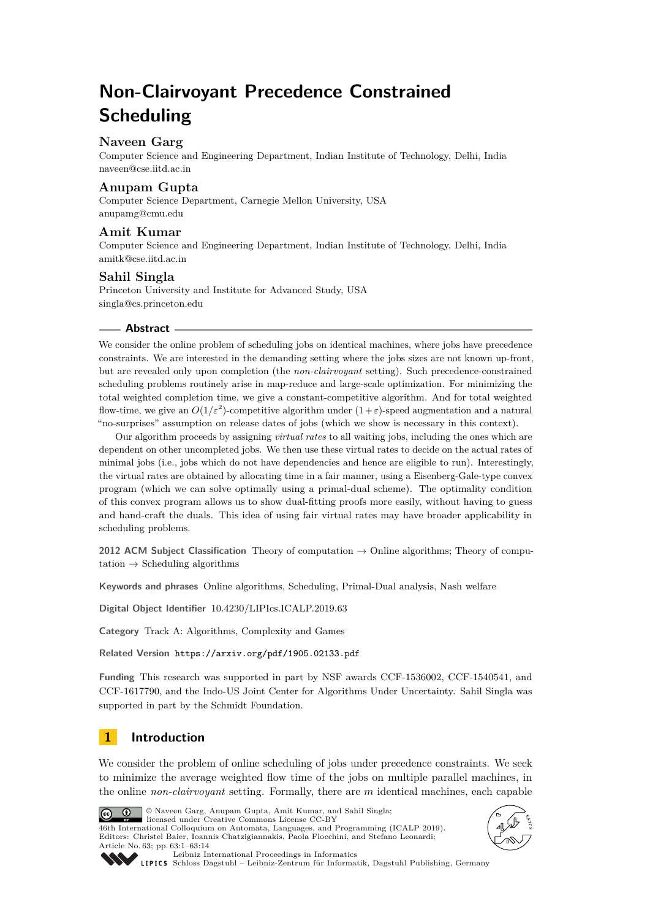# **Non-Clairvoyant Precedence Constrained Scheduling**

# **Naveen Garg**

Computer Science and Engineering Department, Indian Institute of Technology, Delhi, India [naveen@cse.iitd.ac.in](mailto:naveen@cse.iitd.ac.in)

# **Anupam Gupta**

Computer Science Department, Carnegie Mellon University, USA [anupamg@cmu.edu](mailto:anupamg@cmu.edu)

# **Amit Kumar**

Computer Science and Engineering Department, Indian Institute of Technology, Delhi, India [amitk@cse.iitd.ac.in](mailto:amitk@cse.iitd.ac.in)

# **Sahil Singla**

Princeton University and Institute for Advanced Study, USA [singla@cs.princeton.edu](mailto:singla@cs.princeton.edu)

## **Abstract**

We consider the online problem of scheduling jobs on identical machines, where jobs have precedence constraints. We are interested in the demanding setting where the jobs sizes are not known up-front, but are revealed only upon completion (the *non-clairvoyant* setting). Such precedence-constrained scheduling problems routinely arise in map-reduce and large-scale optimization. For minimizing the total weighted completion time, we give a constant-competitive algorithm. And for total weighted flow-time, we give an  $O(1/\varepsilon^2)$ -competitive algorithm under  $(1+\varepsilon)$ -speed augmentation and a natural "no-surprises" assumption on release dates of jobs (which we show is necessary in this context).

Our algorithm proceeds by assigning *virtual rates* to all waiting jobs, including the ones which are dependent on other uncompleted jobs. We then use these virtual rates to decide on the actual rates of minimal jobs (i.e., jobs which do not have dependencies and hence are eligible to run). Interestingly, the virtual rates are obtained by allocating time in a fair manner, using a Eisenberg-Gale-type convex program (which we can solve optimally using a primal-dual scheme). The optimality condition of this convex program allows us to show dual-fitting proofs more easily, without having to guess and hand-craft the duals. This idea of using fair virtual rates may have broader applicability in scheduling problems.

**2012 ACM Subject Classification** Theory of computation → Online algorithms; Theory of computation  $\rightarrow$  Scheduling algorithms

**Keywords and phrases** Online algorithms, Scheduling, Primal-Dual analysis, Nash welfare

**Digital Object Identifier** [10.4230/LIPIcs.ICALP.2019.63](https://doi.org/10.4230/LIPIcs.ICALP.2019.63)

**Category** Track A: Algorithms, Complexity and Games

**Related Version** <https://arxiv.org/pdf/1905.02133.pdf>

**Funding** This research was supported in part by NSF awards CCF-1536002, CCF-1540541, and CCF-1617790, and the Indo-US Joint Center for Algorithms Under Uncertainty. Sahil Singla was supported in part by the Schmidt Foundation.

# **1 Introduction**

We consider the problem of online scheduling of jobs under precedence constraints. We seek to minimize the average weighted flow time of the jobs on multiple parallel machines, in the online *non-clairvoyant* setting. Formally, there are *m* identical machines, each capable



© Naveen Garg, Anupam Gupta, Amit Kumar, and Sahil Singla; licensed under Creative Commons License CC-BY

46th International Colloquium on Automata, Languages, and Programming (ICALP 2019). Editors: Christel Baier, Ioannis Chatzigiannakis, Paola Flocchini, and Stefano Leonardi; Article No. 63; pp. 63:1–63[:14](#page-13-0)





[Leibniz International Proceedings in Informatics](https://www.dagstuhl.de/lipics/)

[Schloss Dagstuhl – Leibniz-Zentrum für Informatik, Dagstuhl Publishing, Germany](https://www.dagstuhl.de)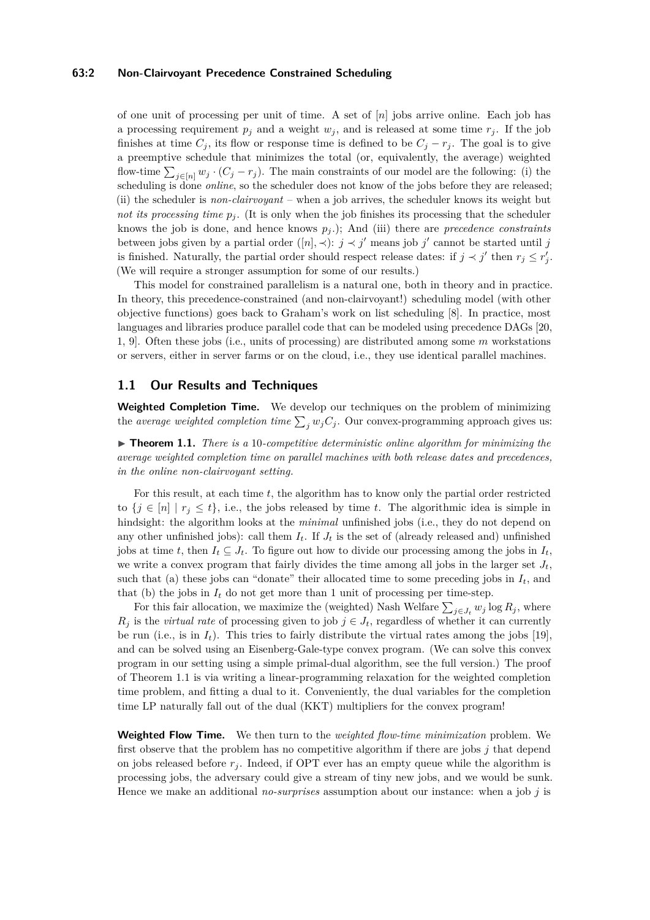#### **63:2 Non-Clairvoyant Precedence Constrained Scheduling**

of one unit of processing per unit of time. A set of [*n*] jobs arrive online. Each job has a processing requirement  $p_j$  and a weight  $w_j$ , and is released at some time  $r_j$ . If the job finishes at time  $C_j$ , its flow or response time is defined to be  $C_j - r_j$ . The goal is to give a preemptive schedule that minimizes the total (or, equivalently, the average) weighted flow-time  $\sum_{j\in[n]} w_j \cdot (C_j - r_j)$ . The main constraints of our model are the following: (i) the scheduling is done *online*, so the scheduler does not know of the jobs before they are released; (ii) the scheduler is *non-clairvoyant* – when a job arrives, the scheduler knows its weight but *not its processing time*  $p_j$ . (It is only when the job finishes its processing that the scheduler knows the job is done, and hence knows *p<sup>j</sup>* .); And (iii) there are *precedence constraints* between jobs given by a partial order  $([n], \prec)$ :  $j \prec j'$  means job  $j'$  cannot be started until j is finished. Naturally, the partial order should respect release dates: if  $j \prec j'$  then  $r_j \leq r'_j$ . (We will require a stronger assumption for some of our results.)

This model for constrained parallelism is a natural one, both in theory and in practice. In theory, this precedence-constrained (and non-clairvoyant!) scheduling model (with other objective functions) goes back to Graham's work on list scheduling [\[8\]](#page-12-0). In practice, most languages and libraries produce parallel code that can be modeled using precedence DAGs [\[20,](#page-13-1) [1,](#page-12-1) [9\]](#page-13-2). Often these jobs (i.e., units of processing) are distributed among some *m* workstations or servers, either in server farms or on the cloud, i.e., they use identical parallel machines.

## **1.1 Our Results and Techniques**

**Weighted Completion Time.** We develop our techniques on the problem of minimizing the *average weighted completion time*  $\sum_j w_j C_j$ . Our convex-programming approach gives us:

<span id="page-1-0"></span>▶ **Theorem 1.1.** *There is a 10-competitive deterministic online algorithm for minimizing the average weighted completion time on parallel machines with both release dates and precedences, in the online non-clairvoyant setting.*

For this result, at each time *t*, the algorithm has to know only the partial order restricted to  $\{j \in [n] \mid r_j \leq t\}$ , i.e., the jobs released by time *t*. The algorithmic idea is simple in hindsight: the algorithm looks at the *minimal* unfinished jobs (i.e., they do not depend on any other unfinished jobs): call them  $I_t$ . If  $J_t$  is the set of (already released and) unfinished jobs at time *t*, then  $I_t \subseteq J_t$ . To figure out how to divide our processing among the jobs in  $I_t$ , we write a convex program that fairly divides the time among all jobs in the larger set  $J_t$ , such that (a) these jobs can "donate" their allocated time to some preceding jobs in  $I_t$ , and that (b) the jobs in  $I_t$  do not get more than 1 unit of processing per time-step.

For this fair allocation, we maximize the (weighted) Nash Welfare  $\sum_{j\in J_t} w_j \log R_j$ , where  $R_j$  is the *virtual rate* of processing given to job  $j \in J_t$ , regardless of whether it can currently be run (i.e., is in  $I_t$ ). This tries to fairly distribute the virtual rates among the jobs [\[19\]](#page-13-3), and can be solved using an Eisenberg-Gale-type convex program. (We can solve this convex program in our setting using a simple primal-dual algorithm, see the full version.) The proof of Theorem [1.1](#page-1-0) is via writing a linear-programming relaxation for the weighted completion time problem, and fitting a dual to it. Conveniently, the dual variables for the completion time LP naturally fall out of the dual (KKT) multipliers for the convex program!

**Weighted Flow Time.** We then turn to the *weighted flow-time minimization* problem. We first observe that the problem has no competitive algorithm if there are jobs  $j$  that depend on jobs released before  $r_j$ . Indeed, if OPT ever has an empty queue while the algorithm is processing jobs, the adversary could give a stream of tiny new jobs, and we would be sunk. Hence we make an additional *no-surprises* assumption about our instance: when a job *j* is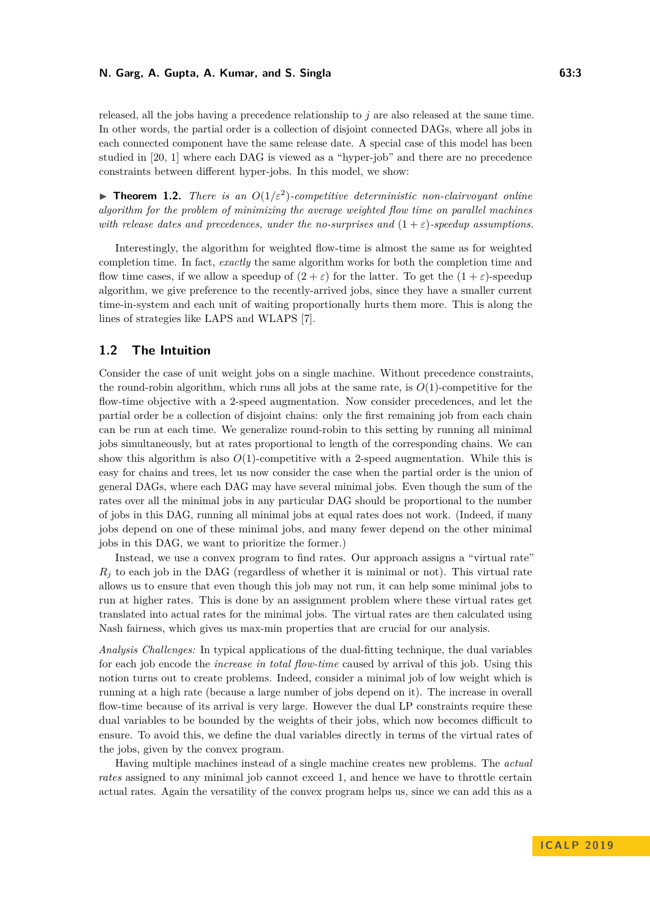released, all the jobs having a precedence relationship to *j* are also released at the same time. In other words, the partial order is a collection of disjoint connected DAGs, where all jobs in each connected component have the same release date. A special case of this model has been studied in [\[20,](#page-13-1) [1\]](#page-12-1) where each DAG is viewed as a "hyper-job" and there are no precedence constraints between different hyper-jobs. In this model, we show:

**Theorem 1.2.** *There is an*  $O(1/\varepsilon^2)$ -competitive deterministic non-clairvoyant online *algorithm for the problem of minimizing the average weighted flow time on parallel machines with release dates and precedences, under the no-surprises and*  $(1 + \varepsilon)$ -speedup assumptions.

Interestingly, the algorithm for weighted flow-time is almost the same as for weighted completion time. In fact, *exactly* the same algorithm works for both the completion time and flow time cases, if we allow a speedup of  $(2 + \varepsilon)$  for the latter. To get the  $(1 + \varepsilon)$ -speedup algorithm, we give preference to the recently-arrived jobs, since they have a smaller current time-in-system and each unit of waiting proportionally hurts them more. This is along the lines of strategies like LAPS and WLAPS [\[7\]](#page-12-2).

## **1.2 The Intuition**

Consider the case of unit weight jobs on a single machine. Without precedence constraints, the round-robin algorithm, which runs all jobs at the same rate, is  $O(1)$ -competitive for the flow-time objective with a 2-speed augmentation. Now consider precedences, and let the partial order be a collection of disjoint chains: only the first remaining job from each chain can be run at each time. We generalize round-robin to this setting by running all minimal jobs simultaneously, but at rates proportional to length of the corresponding chains. We can show this algorithm is also  $O(1)$ -competitive with a 2-speed augmentation. While this is easy for chains and trees, let us now consider the case when the partial order is the union of general DAGs, where each DAG may have several minimal jobs. Even though the sum of the rates over all the minimal jobs in any particular DAG should be proportional to the number of jobs in this DAG, running all minimal jobs at equal rates does not work. (Indeed, if many jobs depend on one of these minimal jobs, and many fewer depend on the other minimal jobs in this DAG, we want to prioritize the former.)

Instead, we use a convex program to find rates. Our approach assigns a "virtual rate"  $R_i$  to each job in the DAG (regardless of whether it is minimal or not). This virtual rate allows us to ensure that even though this job may not run, it can help some minimal jobs to run at higher rates. This is done by an assignment problem where these virtual rates get translated into actual rates for the minimal jobs. The virtual rates are then calculated using Nash fairness, which gives us max-min properties that are crucial for our analysis.

*Analysis Challenges:* In typical applications of the dual-fitting technique, the dual variables for each job encode the *increase in total flow-time* caused by arrival of this job. Using this notion turns out to create problems. Indeed, consider a minimal job of low weight which is running at a high rate (because a large number of jobs depend on it). The increase in overall flow-time because of its arrival is very large. However the dual LP constraints require these dual variables to be bounded by the weights of their jobs, which now becomes difficult to ensure. To avoid this, we define the dual variables directly in terms of the virtual rates of the jobs, given by the convex program.

Having multiple machines instead of a single machine creates new problems. The *actual rates* assigned to any minimal job cannot exceed 1, and hence we have to throttle certain actual rates. Again the versatility of the convex program helps us, since we can add this as a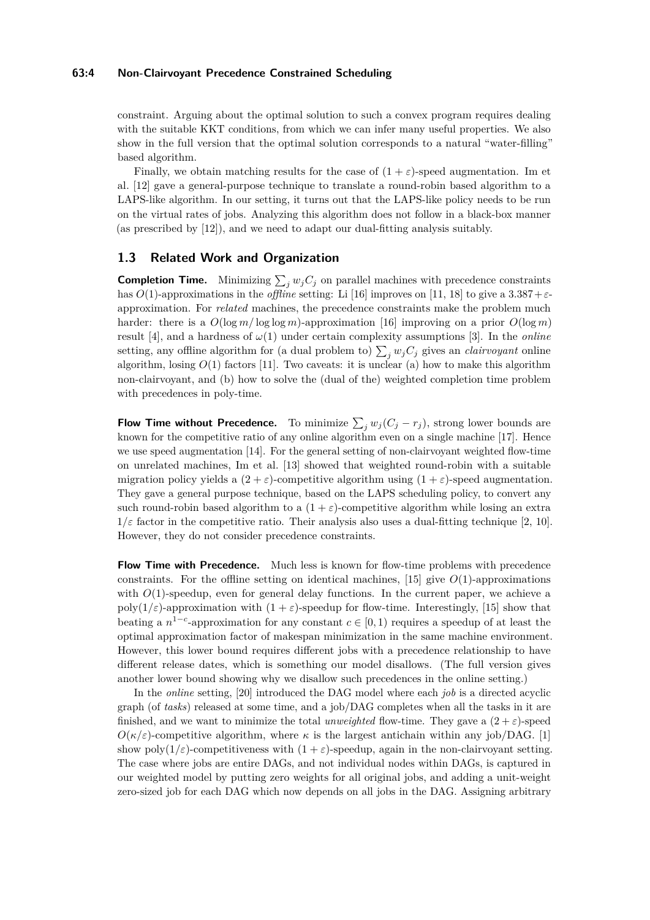#### **63:4 Non-Clairvoyant Precedence Constrained Scheduling**

constraint. Arguing about the optimal solution to such a convex program requires dealing with the suitable KKT conditions, from which we can infer many useful properties. We also show in the full version that the optimal solution corresponds to a natural "water-filling" based algorithm.

Finally, we obtain matching results for the case of  $(1 + \varepsilon)$ -speed augmentation. Im et al. [\[12\]](#page-13-4) gave a general-purpose technique to translate a round-robin based algorithm to a LAPS-like algorithm. In our setting, it turns out that the LAPS-like policy needs to be run on the virtual rates of jobs. Analyzing this algorithm does not follow in a black-box manner (as prescribed by [\[12\]](#page-13-4)), and we need to adapt our dual-fitting analysis suitably.

# **1.3 Related Work and Organization**

**Completion Time.** Minimizing  $\sum_j w_j C_j$  on parallel machines with precedence constraints has *O*(1)-approximations in the *offline* setting: Li [\[16\]](#page-13-5) improves on [\[11,](#page-13-6) [18\]](#page-13-7) to give a 3*.*387+*ε*approximation. For *related* machines, the precedence constraints make the problem much harder: there is a  $O(\log m / \log \log m)$ -approximation [\[16\]](#page-13-5) improving on a prior  $O(\log m)$ result [\[4\]](#page-12-3), and a hardness of  $\omega(1)$  under certain complexity assumptions [\[3\]](#page-12-4). In the *online* setting, any offline algorithm for (a dual problem to)  $\sum_j w_j C_j$  gives an *clairvoyant* online algorithm, losing  $O(1)$  factors [\[11\]](#page-13-6). Two caveats: it is unclear (a) how to make this algorithm non-clairvoyant, and (b) how to solve the (dual of the) weighted completion time problem with precedences in poly-time.

**Flow Time without Precedence.** To minimize  $\sum_j w_j (C_j - r_j)$ , strong lower bounds are known for the competitive ratio of any online algorithm even on a single machine [\[17\]](#page-13-8). Hence we use speed augmentation [\[14\]](#page-13-9). For the general setting of non-clairvoyant weighted flow-time on unrelated machines, Im et al. [\[13\]](#page-13-10) showed that weighted round-robin with a suitable migration policy yields a  $(2 + \varepsilon)$ -competitive algorithm using  $(1 + \varepsilon)$ -speed augmentation. They gave a general purpose technique, based on the LAPS scheduling policy, to convert any such round-robin based algorithm to a  $(1 + \varepsilon)$ -competitive algorithm while losing an extra  $1/\varepsilon$  factor in the competitive ratio. Their analysis also uses a dual-fitting technique [\[2,](#page-12-5) [10\]](#page-13-11). However, they do not consider precedence constraints.

**Flow Time with Precedence.** Much less is known for flow-time problems with precedence constraints. For the offline setting on identical machines, [\[15\]](#page-13-12) give  $O(1)$ -approximations with  $O(1)$ -speedup, even for general delay functions. In the current paper, we achieve a poly( $1/\varepsilon$ )-approximation with  $(1 + \varepsilon)$ -speedup for flow-time. Interestingly, [\[15\]](#page-13-12) show that beating a  $n^{1-c}$ -approximation for any constant  $c \in [0,1)$  requires a speedup of at least the optimal approximation factor of makespan minimization in the same machine environment. However, this lower bound requires different jobs with a precedence relationship to have different release dates, which is something our model disallows. (The full version gives another lower bound showing why we disallow such precedences in the online setting.)

In the *online* setting, [\[20\]](#page-13-1) introduced the DAG model where each *job* is a directed acyclic graph (of *tasks*) released at some time, and a job/DAG completes when all the tasks in it are finished, and we want to minimize the total *unweighted* flow-time. They gave a  $(2 + \varepsilon)$ -speed  $O(\kappa/\varepsilon)$ -competitive algorithm, where  $\kappa$  is the largest antichain within any job/DAG. [\[1\]](#page-12-1) show poly $(1/\varepsilon)$ -competitiveness with  $(1 + \varepsilon)$ -speedup, again in the non-clairvoyant setting. The case where jobs are entire DAGs, and not individual nodes within DAGs, is captured in our weighted model by putting zero weights for all original jobs, and adding a unit-weight zero-sized job for each DAG which now depends on all jobs in the DAG. Assigning arbitrary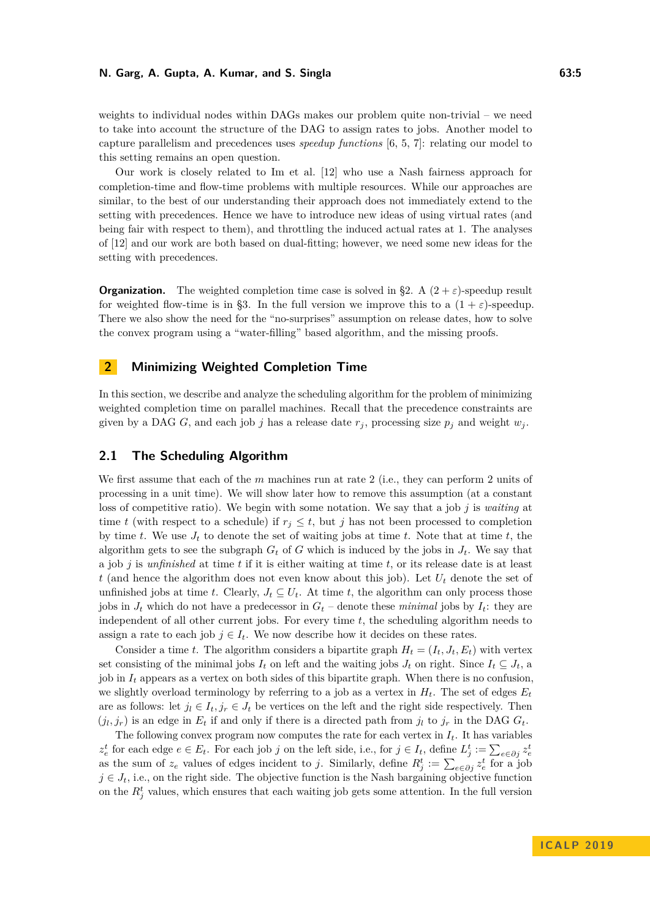weights to individual nodes within DAGs makes our problem quite non-trivial – we need to take into account the structure of the DAG to assign rates to jobs. Another model to capture parallelism and precedences uses *speedup functions* [\[6,](#page-12-6) [5,](#page-12-7) [7\]](#page-12-2): relating our model to this setting remains an open question.

Our work is closely related to Im et al. [\[12\]](#page-13-4) who use a Nash fairness approach for completion-time and flow-time problems with multiple resources. While our approaches are similar, to the best of our understanding their approach does not immediately extend to the setting with precedences. Hence we have to introduce new ideas of using virtual rates (and being fair with respect to them), and throttling the induced actual rates at 1. The analyses of [\[12\]](#page-13-4) and our work are both based on dual-fitting; however, we need some new ideas for the setting with precedences.

**Organization.** The weighted completion time case is solved in [§2.](#page-4-0) A  $(2 + \varepsilon)$ -speedup result for weighted flow-time is in [§3.](#page-9-0) In the full version we improve this to a  $(1 + \varepsilon)$ -speedup. There we also show the need for the "no-surprises" assumption on release dates, how to solve the convex program using a "water-filling" based algorithm, and the missing proofs.

# <span id="page-4-0"></span>**2 Minimizing Weighted Completion Time**

In this section, we describe and analyze the scheduling algorithm for the problem of minimizing weighted completion time on parallel machines. Recall that the precedence constraints are given by a DAG *G*, and each job *j* has a release date  $r_j$ , processing size  $p_j$  and weight  $w_j$ .

## **2.1 The Scheduling Algorithm**

We first assume that each of the *m* machines run at rate 2 (i.e., they can perform 2 units of processing in a unit time). We will show later how to remove this assumption (at a constant loss of competitive ratio). We begin with some notation. We say that a job *j* is *waiting* at time *t* (with respect to a schedule) if  $r_j \leq t$ , but *j* has not been processed to completion by time *t*. We use  $J_t$  to denote the set of waiting jobs at time *t*. Note that at time *t*, the algorithm gets to see the subgraph  $G_t$  of  $G$  which is induced by the jobs in  $J_t$ . We say that a job *j* is *unfinished* at time *t* if it is either waiting at time *t*, or its release date is at least *t* (and hence the algorithm does not even know about this job). Let *U<sup>t</sup>* denote the set of unfinished jobs at time *t*. Clearly,  $J_t \subseteq U_t$ . At time *t*, the algorithm can only process those jobs in  $J_t$  which do not have a predecessor in  $G_t$  – denote these *minimal* jobs by  $I_t$ : they are independent of all other current jobs. For every time *t*, the scheduling algorithm needs to assign a rate to each job  $j \in I_t$ . We now describe how it decides on these rates.

Consider a time *t*. The algorithm considers a bipartite graph  $H_t = (I_t, J_t, E_t)$  with vertex set consisting of the minimal jobs  $I_t$  on left and the waiting jobs  $J_t$  on right. Since  $I_t \subseteq J_t$ , a job in  $I_t$  appears as a vertex on both sides of this bipartite graph. When there is no confusion, we slightly overload terminology by referring to a job as a vertex in  $H_t$ . The set of edges  $E_t$ are as follows: let  $j_l \in I_t, j_r \in J_t$  be vertices on the left and the right side respectively. Then  $(j_l, j_r)$  is an edge in  $E_t$  if and only if there is a directed path from  $j_l$  to  $j_r$  in the DAG  $G_t$ .

The following convex program now computes the rate for each vertex in  $I_t$ . It has variables  $z_e^t$  for each edge  $e \in E_t$ . For each job j on the left side, i.e., for  $j \in I_t$ , define  $L_j^t := \sum_{e \in \partial j} z_e^t$ as the sum of  $z_e$  values of edges incident to *j*. Similarly, define  $R_j^t := \sum_{e \in \partial j} z_e^t$  for a job  $j \in J_t$ , i.e., on the right side. The objective function is the Nash bargaining objective function on the  $R_j^t$  values, which ensures that each waiting job gets some attention. In the full version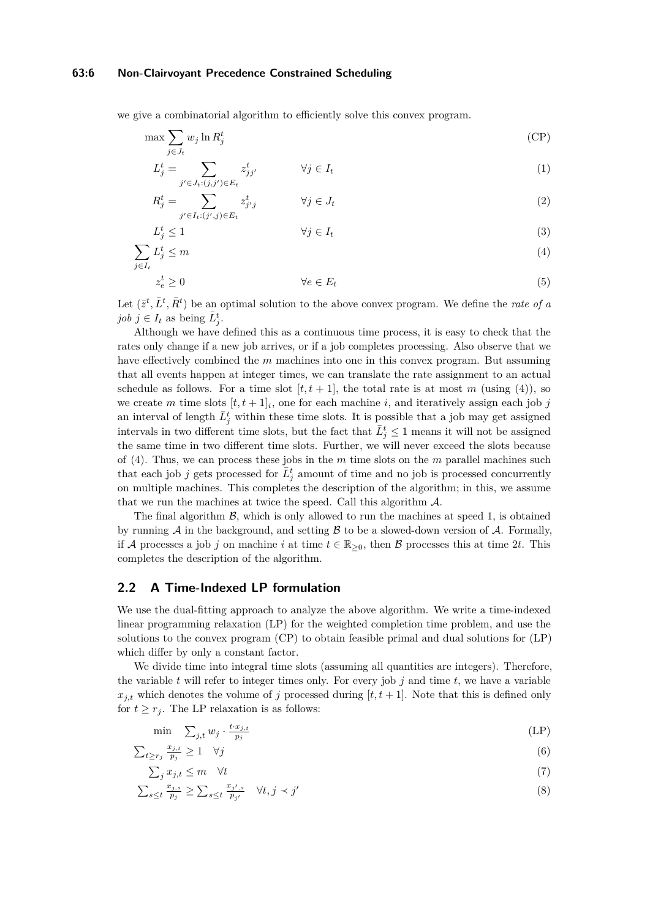#### **63:6 Non-Clairvoyant Precedence Constrained Scheduling**

we give a combinatorial algorithm to efficiently solve this convex program.

$$
\max \sum_{j \in J_t} w_j \ln R_j^t \tag{CP}
$$

<span id="page-5-3"></span><span id="page-5-2"></span>
$$
L_j^t = \sum_{j' \in J_t : (j,j') \in E_t} z_{jj'}^t \qquad \forall j \in I_t
$$
\n
$$
(1)
$$

<span id="page-5-6"></span><span id="page-5-5"></span><span id="page-5-4"></span><span id="page-5-0"></span>
$$
R_j^t = \sum_{j' \in I_t : (j', j) \in E_t} z_{j'j}^t \qquad \forall j \in J_t \tag{2}
$$

$$
L_j^t \le 1 \qquad \qquad \forall j \in I_t \tag{3}
$$

$$
\sum_{j \in I_t} L_j^t \le m \tag{4}
$$

$$
z_e^t \ge 0 \qquad \qquad \forall e \in E_t \tag{5}
$$

Let  $(\bar{z}^t, \bar{L}^t, \bar{R}^t)$  be an optimal solution to the above convex program. We define the *rate of a job*  $j \in I_t$  as being  $\overline{L}_j^t$ .

Although we have defined this as a continuous time process, it is easy to check that the rates only change if a new job arrives, or if a job completes processing. Also observe that we have effectively combined the *m* machines into one in this convex program. But assuming that all events happen at integer times, we can translate the rate assignment to an actual schedule as follows. For a time slot  $[t, t + 1]$ , the total rate is at most *m* (using [\(4\)](#page-5-0)), so we create *m* time slots  $[t, t + 1]_i$ , one for each machine *i*, and iteratively assign each job *j* an interval of length  $\bar{L}^t_j$  within these time slots. It is possible that a job may get assigned intervals in two different time slots, but the fact that  $\overline{L}^t_j \leq 1$  means it will not be assigned the same time in two different time slots. Further, we will never exceed the slots because of [\(4\)](#page-5-0). Thus, we can process these jobs in the *m* time slots on the *m* parallel machines such that each job *j* gets processed for  $\overline{L}_j^t$  amount of time and no job is processed concurrently on multiple machines. This completes the description of the algorithm; in this, we assume that we run the machines at twice the speed. Call this algorithm  $\mathcal{A}$ .

The final algorithm  $\mathcal{B}$ , which is only allowed to run the machines at speed 1, is obtained by running  $A$  in the background, and setting  $B$  to be a slowed-down version of  $A$ . Formally, if A processes a job *j* on machine *i* at time  $t \in \mathbb{R}_{\geq 0}$ , then B processes this at time 2*t*. This completes the description of the algorithm.

# **2.2 A Time-Indexed LP formulation**

We use the dual-fitting approach to analyze the above algorithm. We write a time-indexed linear programming relaxation [\(LP\)](#page-5-1) for the weighted completion time problem, and use the solutions to the convex program [\(CP\)](#page-5-2) to obtain feasible primal and dual solutions for [\(LP\)](#page-5-1) which differ by only a constant factor.

We divide time into integral time slots (assuming all quantities are integers). Therefore, the variable *t* will refer to integer times only. For every job *j* and time *t*, we have a variable  $x_{j,t}$  which denotes the volume of *j* processed during  $[t, t + 1]$ . Note that this is defined only for  $t \geq r_j$ . The LP relaxation is as follows:

<span id="page-5-1"></span>
$$
\min \quad \sum_{j,t} w_j \cdot \frac{t \cdot x_{j,t}}{p_j} \tag{LP}
$$

$$
\sum_{t \ge r_j} \frac{x_{j,t}}{p_j} \ge 1 \quad \forall j \tag{6}
$$

$$
\sum_{j} x_{j,t} \le m \quad \forall t \tag{7}
$$

$$
\sum_{s\leq t} \frac{x_{j,s}}{p_j} \geq \sum_{s\leq t} \frac{x_{j',s}}{p_{j'}} \quad \forall t, j \prec j'
$$
\n
$$
(8)
$$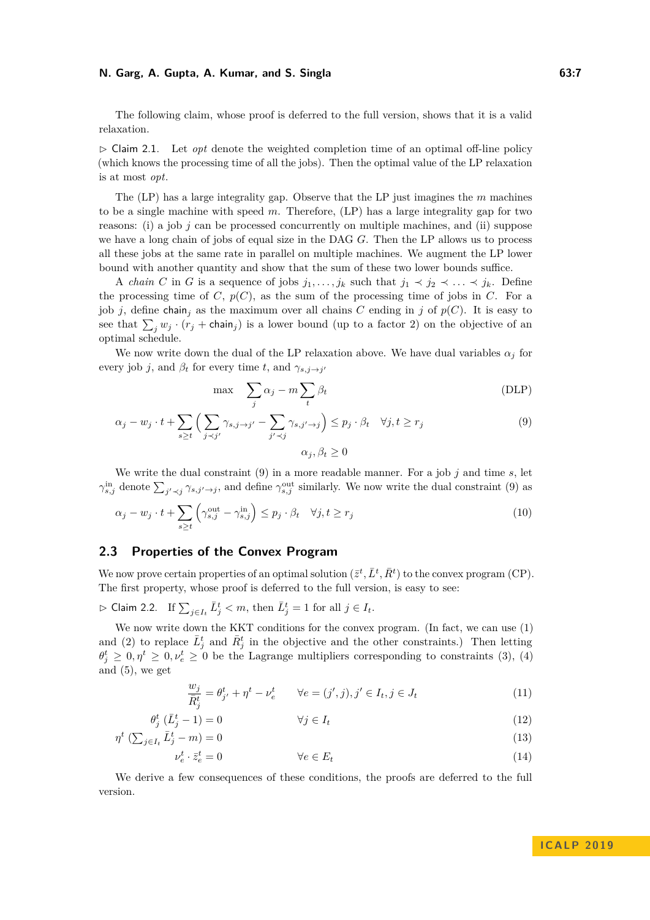The following claim, whose proof is deferred to the full version, shows that it is a valid relaxation.

 $\triangleright$  Claim 2.1. Let *opt* denote the weighted completion time of an optimal off-line policy (which knows the processing time of all the jobs). Then the optimal value of the LP relaxation is at most *opt*.

The [\(LP\)](#page-5-1) has a large integrality gap. Observe that the LP just imagines the *m* machines to be a single machine with speed *m*. Therefore, [\(LP\)](#page-5-1) has a large integrality gap for two reasons: (i) a job *j* can be processed concurrently on multiple machines, and (ii) suppose we have a long chain of jobs of equal size in the DAG *G*. Then the LP allows us to process all these jobs at the same rate in parallel on multiple machines. We augment the LP lower bound with another quantity and show that the sum of these two lower bounds suffice.

A *chain C* in *G* is a sequence of jobs  $j_1, \ldots, j_k$  such that  $j_1 \prec j_2 \prec \ldots \prec j_k$ . Define the processing time of  $C, p(C)$ , as the sum of the processing time of jobs in  $C$ . For a job *j*, define chain<sub>j</sub> as the maximum over all chains *C* ending in *j* of  $p(C)$ . It is easy to see that  $\sum_j w_j \cdot (r_j + \text{chain}_j)$  is a lower bound (up to a factor 2) on the objective of an optimal schedule.

We now write down the dual of the LP relaxation above. We have dual variables  $\alpha_j$  for every job *j*, and  $\beta_t$  for every time *t*, and  $\gamma_{s,j\rightarrow j'}$ 

<span id="page-6-1"></span><span id="page-6-0"></span>
$$
\max \quad \sum_{j} \alpha_j - m \sum_{t} \beta_t \tag{DLP}
$$

$$
\alpha_j - w_j \cdot t + \sum_{s \ge t} \left( \sum_{j < j'} \gamma_{s,j \to j'} - \sum_{j' < j} \gamma_{s,j' \to j} \right) \le p_j \cdot \beta_t \quad \forall j, t \ge r_j
$$
\n
$$
\alpha_j, \beta_t \ge 0
$$
\n
$$
(9)
$$

We write the dual constraint  $(9)$  in a more readable manner. For a job  $j$  and time  $s$ , let  $\gamma_{s,j}^{\text{in}}$  denote  $\sum_{j'\prec j}\gamma_{s,j'\to j}$ , and define  $\gamma_{s,j}^{\text{out}}$  similarly. We now write the dual constraint [\(9\)](#page-6-0) as

$$
\alpha_j - w_j \cdot t + \sum_{s \ge t} \left( \gamma_{s,j}^{\text{out}} - \gamma_{s,j}^{\text{in}} \right) \le p_j \cdot \beta_t \quad \forall j, t \ge r_j \tag{10}
$$

## **2.3 Properties of the Convex Program**

We now prove certain properties of an optimal solution  $(\bar{z}^t, \bar{L}^t, \bar{R}^t)$  to the convex program [\(CP\)](#page-5-2). The first property, whose proof is deferred to the full version, is easy to see:

 $\triangleright$  Claim 2.2. If  $\sum_{j \in I_t} \bar{L}^t_j < m$ , then  $\bar{L}^t_j = 1$  for all  $j ∈ I_t$ .

We now write down the KKT conditions for the convex program. (In fact, we can use [\(1\)](#page-5-3) and [\(2\)](#page-5-4) to replace  $\bar{L}^t_j$  and  $\bar{R}^t_j$  in the objective and the other constraints.) Then letting  $\theta_j^t \geq 0, \eta^t \geq 0, \nu_e^t \geq 0$  be the Lagrange multipliers corresponding to constraints [\(3\)](#page-5-5), [\(4\)](#page-5-0) and  $(5)$ , we get

$$
\frac{w_j}{\bar{R}_j^t} = \theta_{j'}^t + \eta^t - \nu_e^t \qquad \forall e = (j', j), j' \in I_t, j \in J_t \tag{11}
$$

$$
\theta_j^t \left( \bar{L}_j^t - 1 \right) = 0 \qquad \qquad \forall j \in I_t \tag{12}
$$

$$
\eta^t \left( \sum_{j \in I_t} \bar{L}_j^t - m \right) = 0 \tag{13}
$$

$$
\nu_e^t \cdot \bar{z}_e^t = 0 \qquad \qquad \forall e \in E_t \tag{14}
$$

<span id="page-6-2"></span>We derive a few consequences of these conditions, the proofs are deferred to the full version.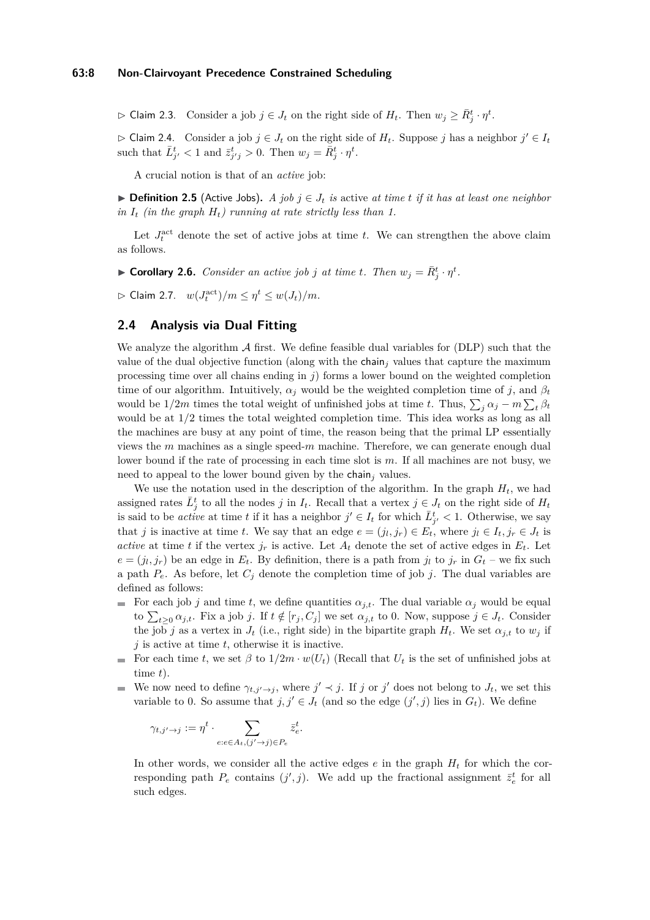$\triangleright$  Claim 2.3. Consider a job  $j \in J_t$  on the right side of  $H_t$ . Then  $w_j \geq \bar{R}_j^t \cdot \eta^t$ .

 $\triangleright$  Claim 2.4. Consider a job  $j \in J_t$  on the right side of  $H_t$ . Suppose *j* has a neighbor  $j' \in I_t$ such that  $\bar{L}^t_{j'} < 1$  and  $\bar{z}^t_{j'j} > 0$ . Then  $w_j = \bar{R}^t_j \cdot \eta^t$ .

A crucial notion is that of an *active* job:

**► Definition 2.5** (Active Jobs). A job  $j \in J_t$  is active at time t if it has at least one neighbor *in*  $I_t$  *(in the graph*  $H_t$ *) running at rate strictly less than 1.* 

Let  $J_t^{\text{act}}$  denote the set of active jobs at time *t*. We can strengthen the above claim as follows.

<span id="page-7-0"></span> $\blacktriangleright$  **Corollary 2.6.** *Consider an active job j at time t. Then*  $w_j = \overline{R}_j^t \cdot \eta^t$ .

<span id="page-7-1"></span> $\Rightarrow$  Claim 2.7.  $w(J_t^{\text{act}})/m \leq \eta^t \leq w(J_t)/m$ .

## **2.4 Analysis via Dual Fitting**

We analyze the algorithm  $\mathcal A$  first. We define feasible dual variables for [\(DLP\)](#page-6-1) such that the value of the dual objective function (along with the chain<sub>j</sub> values that capture the maximum processing time over all chains ending in *j*) forms a lower bound on the weighted completion time of our algorithm. Intuitively,  $\alpha_j$  would be the weighted completion time of *j*, and  $\beta_t$ would be  $1/2m$  times the total weight of unfinished jobs at time *t*. Thus,  $\sum_j \alpha_j - m \sum_t \beta_t$ would be at  $1/2$  times the total weighted completion time. This idea works as long as all the machines are busy at any point of time, the reason being that the primal LP essentially views the *m* machines as a single speed-*m* machine. Therefore, we can generate enough dual lower bound if the rate of processing in each time slot is *m*. If all machines are not busy, we need to appeal to the lower bound given by the chain*<sup>j</sup>* values.

We use the notation used in the description of the algorithm. In the graph  $H_t$ , we had assigned rates  $\bar{L}^t_j$  to all the nodes *j* in  $I_t$ . Recall that a vertex  $j \in J_t$  on the right side of  $H_t$ is said to be *active* at time *t* if it has a neighbor  $j' \in I_t$  for which  $\bar{L}^t_{j'} < 1$ . Otherwise, we say that *j* is inactive at time *t*. We say that an edge  $e = (j_l, j_r) \in E_t$ , where  $j_l \in I_t, j_r \in J_t$  is *active* at time *t* if the vertex  $j_r$  is active. Let  $A_t$  denote the set of active edges in  $E_t$ . Let  $e = (j_l, j_r)$  be an edge in  $E_t$ . By definition, there is a path from  $j_l$  to  $j_r$  in  $G_t$  – we fix such a path  $P_e$ . As before, let  $C_j$  denote the completion time of job *j*. The dual variables are defined as follows:

- For each job *j* and time *t*, we define quantities  $\alpha_{j,t}$ . The dual variable  $\alpha_j$  would be equal to  $\sum_{t\geq 0} \alpha_{j,t}$ . Fix a job *j*. If  $t \notin [r_j, C_j]$  we set  $\alpha_{j,t}$  to 0. Now, suppose  $j \in J_t$ . Consider the job *j* as a vertex in  $J_t$  (i.e., right side) in the bipartite graph  $H_t$ . We set  $\alpha_{j,t}$  to  $w_j$  if *j* is active at time *t*, otherwise it is inactive.
- For each time *t*, we set  $\beta$  to  $1/2m \cdot w(U_t)$  (Recall that  $U_t$  is the set of unfinished jobs at time *t*).
- We now need to define  $\gamma_{t,j'\to j}$ , where  $j' \prec j$ . If *j* or *j'* does not belong to  $J_t$ , we set this  $\mathcal{L}_{\mathcal{A}}$ variable to 0. So assume that  $j, j' \in J_t$  (and so the edge  $(j', j)$  lies in  $G_t$ ). We define

$$
\gamma_{t,j'\to j} := \eta^t \cdot \sum_{e:e \in A_t, (j'\to j) \in P_e} \bar{z}_e^t.
$$

In other words, we consider all the active edges  $e$  in the graph  $H_t$  for which the corresponding path  $P_e$  contains  $(j', j)$ . We add up the fractional assignment  $\bar{z}_e^t$  for all such edges.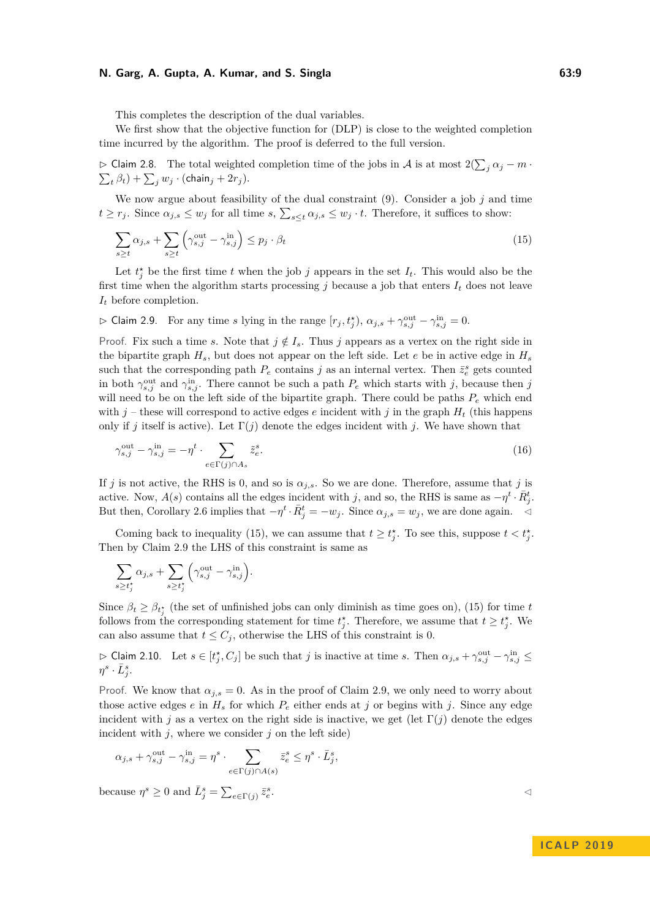This completes the description of the dual variables.

We first show that the objective function for [\(DLP\)](#page-6-1) is close to the weighted completion time incurred by the algorithm. The proof is deferred to the full version.

<span id="page-8-3"></span> $\triangleright$  Claim 2.8. The total weighted completion time of the jobs in *A* is at most 2( $\sum_j \alpha_j - m$  ·  $\sum_{t} \beta_{t}$ ) +  $\sum_{j} w_{j} \cdot ($ chain $_{j}$  +  $2r_{j}$ ).

We now argue about feasibility of the dual constraint  $(9)$ . Consider a job  $j$  and time  $t \geq r_j$ . Since  $\alpha_{j,s} \leq w_j$  for all time  $s, \sum_{s \leq t} \alpha_{j,s} \leq w_j \cdot t$ . Therefore, it suffices to show:

<span id="page-8-0"></span>
$$
\sum_{s \ge t} \alpha_{j,s} + \sum_{s \ge t} \left( \gamma_{s,j}^{\text{out}} - \gamma_{s,j}^{\text{in}} \right) \le p_j \cdot \beta_t \tag{15}
$$

Let  $t_j^*$  be the first time *t* when the job *j* appears in the set  $I_t$ . This would also be the first time when the algorithm starts processing  $j$  because a job that enters  $I_t$  does not leave *I<sup>t</sup>* before completion.

<span id="page-8-1"></span> $\triangleright$  Claim 2.9. For any time *s* lying in the range  $[r_j, t_j^{\star}), \alpha_{j,s} + \gamma_{s,j}^{\text{out}} - \gamma_{s,j}^{\text{in}} = 0$ .

Proof. Fix such a time *s*. Note that  $j \notin I_s$ . Thus *j* appears as a vertex on the right side in the bipartite graph  $H_s$ , but does not appear on the left side. Let *e* be in active edge in  $H_s$ such that the corresponding path  $P_e$  contains *j* as an internal vertex. Then  $\bar{z}_e^s$  gets counted in both  $\gamma_{s,j}^{\text{out}}$  and  $\gamma_{s,j}^{\text{in}}$ . There cannot be such a path  $P_e$  which starts with *j*, because then *j* will need to be on the left side of the bipartite graph. There could be paths *P<sup>e</sup>* which end with  $j$  – these will correspond to active edges  $e$  incident with  $j$  in the graph  $H_t$  (this happens only if *j* itself is active). Let  $\Gamma(j)$  denote the edges incident with *j*. We have shown that

$$
\gamma_{s,j}^{\text{out}} - \gamma_{s,j}^{\text{in}} = -\eta^t \cdot \sum_{e \in \Gamma(j) \cap A_s} \tilde{z}_e^s. \tag{16}
$$

If *j* is not active, the RHS is 0, and so is  $\alpha_{j,s}$ . So we are done. Therefore, assume that *j* is active. Now,  $A(s)$  contains all the edges incident with *j*, and so, the RHS is same as  $-\eta^t \cdot \bar{R}^t_j$ . But then, Corollary [2.6](#page-7-0) implies that  $-\eta^t \cdot \bar{R}^t_j = -w_j$ . Since  $\alpha_{j,s} = w_j$ , we are done again.  $\triangleleft$ 

Coming back to inequality [\(15\)](#page-8-0), we can assume that  $t \geq t_j^*$ . To see this, suppose  $t < t_j^*$ . Then by Claim [2.9](#page-8-1) the LHS of this constraint is same as

$$
\sum_{s\geq t_j^{\star}}\alpha_{j,s}+\sum_{s\geq t_j^{\star}}\Big(\gamma_{s,j}^{\mathrm{out}}-\gamma_{s,j}^{\mathrm{in}}\Big).
$$

Since  $\beta_t \geq \beta_{t_j^*}$  (the set of unfinished jobs can only diminish as time goes on), [\(15\)](#page-8-0) for time *t* follows from the corresponding statement for time  $t_j^*$ . Therefore, we assume that  $t \geq t_j^*$ . We can also assume that  $t \leq C_j$ , otherwise the LHS of this constraint is 0.

<span id="page-8-2"></span> $\triangleright$  Claim 2.10. Let  $s \in [t_j^*, C_j]$  be such that *j* is inactive at time *s*. Then  $\alpha_{j,s} + \gamma^{\text{out}}_{s,j} - \gamma^{\text{in}}_{s,j} \leq$  $\eta^s \cdot \bar{L}^s_j$ .

Proof. We know that  $\alpha_{i,s} = 0$ . As in the proof of Claim [2.9,](#page-8-1) we only need to worry about those active edges  $e$  in  $H_s$  for which  $P_e$  either ends at  $j$  or begins with  $j$ . Since any edge incident with *j* as a vertex on the right side is inactive, we get (let  $\Gamma(j)$  denote the edges incident with  $j$ , where we consider  $j$  on the left side)

$$
\alpha_{j,s} + \gamma^{\text{out}}_{s,j} - \gamma^{\text{in}}_{s,j} = \eta^s \cdot \sum_{e \in \Gamma(j) \cap A(s)} \bar{z}_e^s \leq \eta^s \cdot \bar{L}_j^s,
$$

because  $\eta^s \geq 0$  and  $\overline{L}_j^s = \sum_{e \in \Gamma(j)} \overline{z}_e^s$ 

. The contract of the contract of the contract of  $\triangleleft$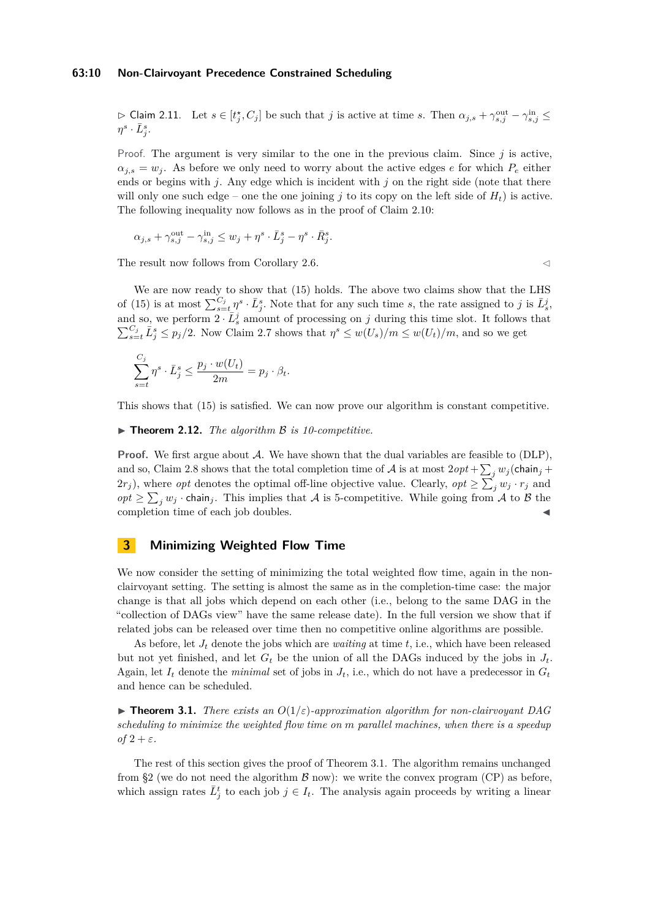#### **63:10 Non-Clairvoyant Precedence Constrained Scheduling**

 $\triangleright$  Claim 2.11. Let  $s \in [t_j^*, C_j]$  be such that *j* is active at time *s*. Then  $\alpha_{j,s} + \gamma_{s,j}^{\text{out}} - \gamma_{s,j}^{\text{in}} \leq$  $\eta^s \cdot \bar{L}^s_j$ .

Proof. The argument is very similar to the one in the previous claim. Since  $j$  is active,  $\alpha_{i,s} = w_i$ . As before we only need to worry about the active edges *e* for which  $P_e$  either ends or begins with *j*. Any edge which is incident with *j* on the right side (note that there will only one such edge – one the one joining  $j$  to its copy on the left side of  $H_t$ ) is active. The following inequality now follows as in the proof of Claim [2.10:](#page-8-2)

$$
\alpha_{j,s} + \gamma^{\text{out}}_{s,j} - \gamma^{\text{in}}_{s,j} \le w_j + \eta^s \cdot \bar{L}_j^s - \eta^s \cdot \bar{R}_j^s.
$$

The result now follows from Corollary [2.6.](#page-7-0)  $\leq$ 

We are now ready to show that [\(15\)](#page-8-0) holds. The above two claims show that the LHS of [\(15\)](#page-8-0) is at most  $\sum_{s=t}^{C_j} \eta^s \cdot \bar{L}^s_j$ . Note that for any such time *s*, the rate assigned to *j* is  $\bar{L}^j_s$ , and so, we perform  $2 \cdot \bar{L}^j_s$  amount of processing on *j* during this time slot. It follows that  $\sum_{s=t}^{C_j} \bar{L}_j^s \leq p_j/2$ . Now Claim [2.7](#page-7-1) shows that  $\eta^s \leq w(U_s)/m \leq w(U_t)/m$ , and so we get

$$
\sum_{s=t}^{C_j} \eta^s \cdot \bar{L}_j^s \le \frac{p_j \cdot w(U_t)}{2m} = p_j \cdot \beta_t.
$$

This shows that [\(15\)](#page-8-0) is satisfied. We can now prove our algorithm is constant competitive.

#### ▶ **Theorem 2.12.** *The algorithm B is 10-competitive.*

**Proof.** We first argue about A. We have shown that the dual variables are feasible to [\(DLP\)](#page-6-1), and so, Claim [2.8](#page-8-3) shows that the total completion time of  $A$  is at most  $2opt + \sum_j w_j$  (chain<sub>j</sub> +  $2r_j$ ), where *opt* denotes the optimal off-line objective value. Clearly, *opt*  $\geq \sum_j w_j \cdot r_j$  and  $opt \ge \sum_j w_j \cdot \text{chain}_j$ . This implies that A is 5-competitive. While going from A to B the completion time of each job doubles.

# <span id="page-9-0"></span>**3 Minimizing Weighted Flow Time**

We now consider the setting of minimizing the total weighted flow time, again in the nonclairvoyant setting. The setting is almost the same as in the completion-time case: the major change is that all jobs which depend on each other (i.e., belong to the same DAG in the "collection of DAGs view" have the same release date). In the full version we show that if related jobs can be released over time then no competitive online algorithms are possible.

As before, let *J<sup>t</sup>* denote the jobs which are *waiting* at time *t*, i.e., which have been released but not yet finished, and let  $G_t$  be the union of all the DAGs induced by the jobs in  $J_t$ . Again, let  $I_t$  denote the *minimal* set of jobs in  $J_t$ , i.e., which do not have a predecessor in  $G_t$ and hence can be scheduled.

<span id="page-9-1"></span>**Findment 3.1.** *There exists an*  $O(1/\varepsilon)$ *-approximation algorithm for non-clairvoyant DAG scheduling to minimize the weighted flow time on m parallel machines, when there is a speedup*  $of$  2 +  $\varepsilon$ .

The rest of this section gives the proof of Theorem [3.1.](#page-9-1) The algorithm remains unchanged from [§2](#page-4-0) (we do not need the algorithm  $\mathcal B$  now): we write the convex program [\(CP\)](#page-5-2) as before, which assign rates  $\bar{L}^t_j$  to each job  $j \in I_t$ . The analysis again proceeds by writing a linear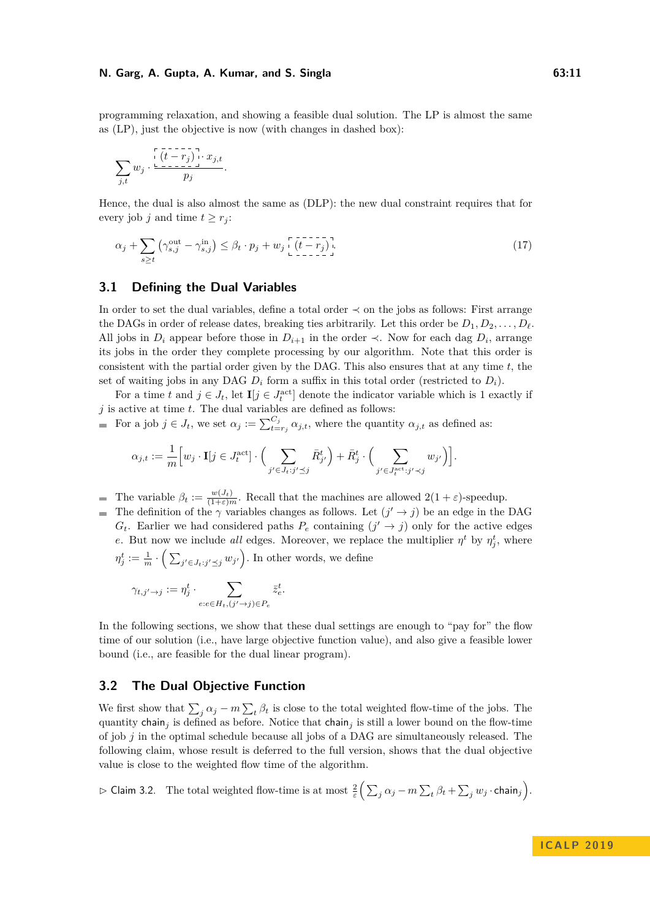programming relaxation, and showing a feasible dual solution. The LP is almost the same as [\(LP\)](#page-5-1), just the objective is now (with changes in dashed box):

$$
\sum_{j,t} w_j \cdot \frac{\left[\left(t-r_j\right)\right] \cdot x_{j,t}}{p_j}.
$$

Hence, the dual is also almost the same as [\(DLP\)](#page-6-1): the new dual constraint requires that for every job *j* and time  $t \geq r_i$ :

<span id="page-10-0"></span>
$$
\alpha_j + \sum_{s \ge t} \left( \gamma_{s,j}^{\text{out}} - \gamma_{s,j}^{\text{in}} \right) \le \beta_t \cdot p_j + w_j \left[ \underbrace{(t - r_j)}_{\text{in}} \right]. \tag{17}
$$

## **3.1 Defining the Dual Variables**

In order to set the dual variables, define a total order  $\prec$  on the jobs as follows: First arrange the DAGs in order of release dates, breaking ties arbitrarily. Let this order be  $D_1, D_2, \ldots, D_\ell$ . All jobs in  $D_i$  appear before those in  $D_{i+1}$  in the order  $\prec$ . Now for each dag  $D_i$ , arrange its jobs in the order they complete processing by our algorithm. Note that this order is consistent with the partial order given by the DAG. This also ensures that at any time *t*, the set of waiting jobs in any DAG  $D_i$  form a suffix in this total order (restricted to  $D_i$ ).

For a time *t* and  $j \in J_t$ , let  $\mathbf{I}[j \in J_t^{\text{act}}]$  denote the indicator variable which is 1 exactly if  $j$  is active at time  $t.$  The dual variables are defined as follows:

For a job  $j \in J_t$ , we set  $\alpha_j := \sum_{t=r_j}^{C_j} \alpha_{j,t}$ , where the quantity  $\alpha_{j,t}$  as defined as:

$$
\alpha_{j,t} := \frac{1}{m} \Big[ w_j \cdot \mathbf{I}[j \in J_t^{\text{act}}] \cdot \Big( \sum_{j' \in J_t : j' \preceq j} \bar{R}_{j'}^t \Big) + \bar{R}_j^t \cdot \Big( \sum_{j' \in J_t^{\text{act}} : j' \prec j} w_{j'} \Big) \Big].
$$

The variable  $\beta_t := \frac{w(J_t)}{(1+\varepsilon)m}$ . Recall that the machines are allowed  $2(1+\varepsilon)$ -speedup.

The definition of the  $\gamma$  variables changes as follows. Let  $(j' \rightarrow j)$  be an edge in the DAG  $G_t$ . Earlier we had considered paths  $P_e$  containing  $(j' \rightarrow j)$  only for the active edges *e*. But now we include *all* edges. Moreover, we replace the multiplier  $\eta^t$  by  $\eta^t_j$ , where  $\eta_j^t := \frac{1}{m} \cdot \left( \sum_{j' \in J_t : j' \preceq j} w_{j'} \right)$ . In other words, we define

$$
\gamma_{t,j'\to j} := \eta_j^t \cdot \sum_{e:e\in H_t, (j'\to j)\in P_e} \bar{z}_e^t.
$$

In the following sections, we show that these dual settings are enough to "pay for" the flow time of our solution (i.e., have large objective function value), and also give a feasible lower bound (i.e., are feasible for the dual linear program).

# **3.2 The Dual Objective Function**

We first show that  $\sum_j \alpha_j - m \sum_t \beta_t$  is close to the total weighted flow-time of the jobs. The quantity chain<sub>j</sub> is defined as before. Notice that chain<sub>j</sub> is still a lower bound on the flow-time of job *j* in the optimal schedule because all jobs of a DAG are simultaneously released. The following claim, whose result is deferred to the full version, shows that the dual objective value is close to the weighted flow time of the algorithm.

<span id="page-10-1"></span> $\Rightarrow$  Claim 3.2. The total weighted flow-time is at most  $\frac{2}{\varepsilon} \Big( \sum_j \alpha_j - m \sum_t \beta_t + \sum_j w_j \cdot \textsf{chain}_j \Big).$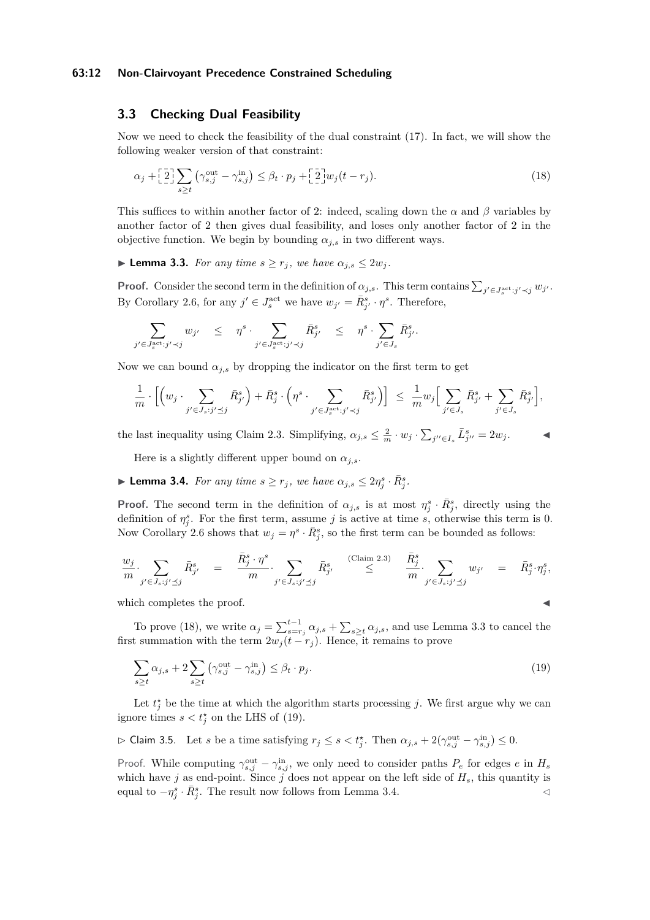#### **63:12 Non-Clairvoyant Precedence Constrained Scheduling**

# <span id="page-11-5"></span>**3.3 Checking Dual Feasibility**

Now we need to check the feasibility of the dual constraint [\(17\)](#page-10-0). In fact, we will show the following weaker version of that constraint:

<span id="page-11-0"></span>
$$
\alpha_j + \left[\frac{2}{2}\right] \sum_{s \ge t} \left(\gamma_{s,j}^{\text{out}} - \gamma_{s,j}^{\text{in}}\right) \le \beta_t \cdot p_j + \left[\frac{2}{2}\right] w_j (t - r_j). \tag{18}
$$

This suffices to within another factor of 2: indeed, scaling down the  $\alpha$  and  $\beta$  variables by another factor of 2 then gives dual feasibility, and loses only another factor of 2 in the objective function. We begin by bounding  $\alpha_{i,s}$  in two different ways.

<span id="page-11-1"></span>► **Lemma 3.3.** *For any time*  $s \geq r_j$ *, we have*  $\alpha_{j,s} \leq 2w_j$ *.* 

**Proof.** Consider the second term in the definition of  $\alpha_{j,s}$ . This term contains  $\sum_{j' \in J_s^{\text{act}}: j' \prec j} w_{j'}$ . By Corollary [2.6,](#page-7-0) for any  $j' \in J_s^{\text{act}}$  we have  $w_{j'} = \bar{R}_{j'}^s \cdot \eta^s$ . Therefore,

$$
\sum_{j' \in J_s^{\text{act}}: j' \prec j} w_{j'} \leq \eta^s \cdot \sum_{j' \in J_s^{\text{act}}: j' \prec j} \bar{R}_{j'}^s \leq \eta^s \cdot \sum_{j' \in J_s} \bar{R}_{j'}^s.
$$

Now we can bound  $\alpha_{j,s}$  by dropping the indicator on the first term to get

$$
\frac{1}{m} \cdot \Big[ \Big( w_j \cdot \sum_{j' \in J_s : j' \preceq j} \bar{R}^s_{j'} \Big) + \bar{R}^s_j \cdot \Big( \eta^s \cdot \sum_{j' \in J_s^{\text{act}} : j' \prec j} \bar{R}^s_{j'} \Big) \Big] \ \leq \ \frac{1}{m} w_j \Big[ \sum_{j' \in J_s} \bar{R}^s_{j'} + \sum_{j' \in J_s} \bar{R}^s_{j'} \Big],
$$

the last inequality using Claim [2.3.](#page-6-2) Simplifying,  $\alpha_{j,s} \leq \frac{2}{m} \cdot w_j \cdot \sum_{j'' \in I_s} \bar{L}_{j''}^s = 2w_j$ .

Here is a slightly different upper bound on  $\alpha_{j,s}$ .

<span id="page-11-3"></span>**Example 12.4.** For any time  $s \geq r_j$ , we have  $\alpha_{j,s} \leq 2\eta_j^s \cdot \bar{R}_j^s$ .

**Proof.** The second term in the definition of  $\alpha_{j,s}$  is at most  $\eta_j^s \cdot \bar{R}_j^s$ , directly using the definition of  $\eta_j^s$ . For the first term, assume *j* is active at time *s*, otherwise this term is 0. Now Corollary [2.6](#page-7-0) shows that  $w_j = \eta^s \cdot \bar{R}^s_j$ , so the first term can be bounded as follows:

$$
\frac{w_j}{m} \cdot \sum_{j' \in J_s : j' \preceq j} \bar{R}_{j'}^s = \frac{\bar{R}_j^s \cdot \eta^s}{m} \cdot \sum_{j' \in J_s : j' \preceq j} \bar{R}_{j'}^s \leq \sum_{j' \in J_s : j' \preceq j} \frac{\bar{R}_j^s}{m} \cdot \sum_{j' \in J_s : j' \preceq j} w_{j'} = \bar{R}_j^s \cdot \eta_j^s,
$$

which completes the proof.

To prove [\(18\)](#page-11-0), we write  $\alpha_j = \sum_{s=r_j}^{t-1} \alpha_{j,s} + \sum_{s \geq t} \alpha_{j,s}$ , and use Lemma [3.3](#page-11-1) to cancel the first summation with the term  $2w_j(t - r_j)$ . Hence, it remains to prove

<span id="page-11-2"></span>
$$
\sum_{s \ge t} \alpha_{j,s} + 2 \sum_{s \ge t} \left( \gamma_{s,j}^{\text{out}} - \gamma_{s,j}^{\text{in}} \right) \le \beta_t \cdot p_j. \tag{19}
$$

Let  $t_j^*$  be the time at which the algorithm starts processing *j*. We first argue why we can ignore times  $s < t_j^*$  on the LHS of [\(19\)](#page-11-2).

<span id="page-11-4"></span>
$$
\triangleright \text{ Claim 3.5.} \quad \text{Let } s \text{ be a time satisfying } r_j \leq s < t_j^* . \text{ Then } \alpha_{j,s} + 2(\gamma^{\text{out}}_{s,j} - \gamma^{\text{in}}_{s,j}) \leq 0.
$$

Proof. While computing  $\gamma_{s,j}^{\text{out}} - \gamma_{s,j}^{\text{in}}$ , we only need to consider paths  $P_e$  for edges  $e$  in  $H_s$ which have *j* as end-point. Since *j* does not appear on the left side of  $H_s$ , this quantity is equal to  $-\eta_j^s \cdot \bar{R}_j^s$ . The result now follows from Lemma [3.4.](#page-11-3)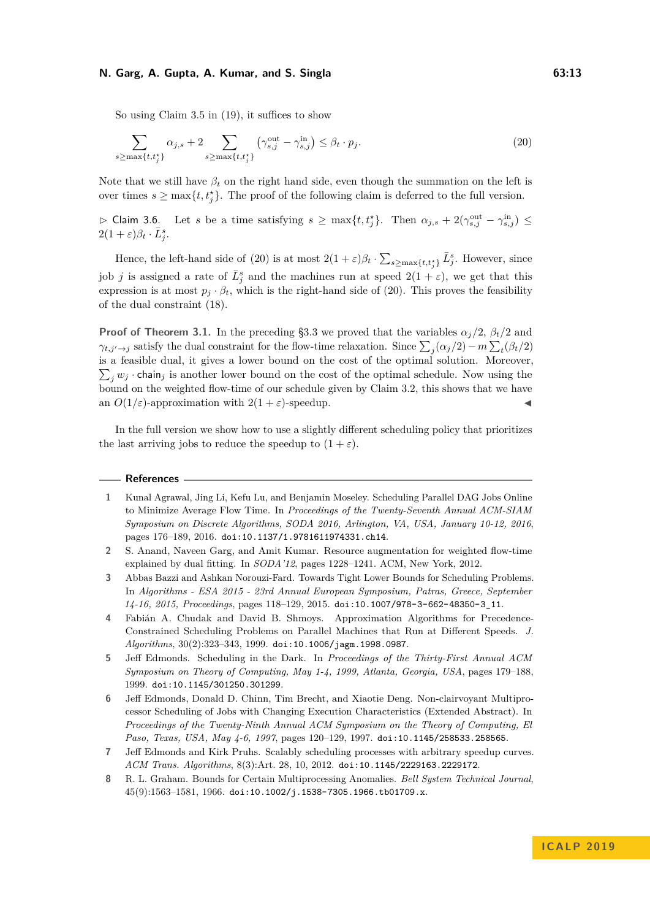So using Claim [3.5](#page-11-4) in [\(19\)](#page-11-2), it suffices to show

<span id="page-12-8"></span>
$$
\sum_{s \ge \max\{t, t_j^*\}} \alpha_{j,s} + 2 \sum_{s \ge \max\{t, t_j^*\}} \left(\gamma_{s,j}^{\text{out}} - \gamma_{s,j}^{\text{in}}\right) \le \beta_t \cdot p_j. \tag{20}
$$

Note that we still have  $\beta_t$  on the right hand side, even though the summation on the left is over times  $s \ge \max\{t, t_j^*\}$ . The proof of the following claim is deferred to the full version.

 $\triangleright$  Claim 3.6. Let *s* be a time satisfying  $s \ge \max\{t, t_j^*\}$ . Then  $\alpha_{j,s} + 2(\gamma_{s,j}^{\text{out}} - \gamma_{s,j}^{\text{in}}) \le$  $2(1+\varepsilon)\beta_t \cdot \bar{L}_j^s$ .

Hence, the left-hand side of [\(20\)](#page-12-8) is at most  $2(1+\varepsilon)\beta_t \cdot \sum_{s \ge \max\{t,t_j^*\}} \bar{L}_j^s$ . However, since job *j* is assigned a rate of  $\bar{L}^s_j$  and the machines run at speed  $2(1+\varepsilon)$ , we get that this expression is at most  $p_j \cdot \beta_t$ , which is the right-hand side of [\(20\)](#page-12-8). This proves the feasibility of the dual constraint [\(18\)](#page-11-0).

**Proof of Theorem [3.1.](#page-9-1)** In the preceding [§3.3](#page-11-5) we proved that the variables  $\alpha_j/2$ ,  $\beta_t/2$  and *γ*<sub>*t*</sub>,*j* $\rightarrow$ *j* satisfy the dual constraint for the flow-time relaxation. Since  $\sum_{j} (\alpha_j/2) - m \sum_{t} (\beta_t/2)$ is a feasible dual, it gives a lower bound on the cost of the optimal solution. Moreover,  $\sum_j w_j$  · chain<sub>j</sub> is another lower bound on the cost of the optimal schedule. Now using the bound on the weighted flow-time of our schedule given by Claim [3.2,](#page-10-1) this shows that we have an  $O(1/\varepsilon)$ -approximation with  $2(1+\varepsilon)$ -speedup.

In the full version we show how to use a slightly different scheduling policy that prioritizes the last arriving jobs to reduce the speedup to  $(1 + \varepsilon)$ .

#### **References**

- <span id="page-12-1"></span>**1** Kunal Agrawal, Jing Li, Kefu Lu, and Benjamin Moseley. Scheduling Parallel DAG Jobs Online to Minimize Average Flow Time. In *Proceedings of the Twenty-Seventh Annual ACM-SIAM Symposium on Discrete Algorithms, SODA 2016, Arlington, VA, USA, January 10-12, 2016*, pages 176–189, 2016. [doi:10.1137/1.9781611974331.ch14](http://dx.doi.org/10.1137/1.9781611974331.ch14).
- <span id="page-12-5"></span>**2** S. Anand, Naveen Garg, and Amit Kumar. Resource augmentation for weighted flow-time explained by dual fitting. In *SODA'12*, pages 1228–1241. ACM, New York, 2012.
- <span id="page-12-4"></span>**3** Abbas Bazzi and Ashkan Norouzi-Fard. Towards Tight Lower Bounds for Scheduling Problems. In *Algorithms - ESA 2015 - 23rd Annual European Symposium, Patras, Greece, September 14-16, 2015, Proceedings*, pages 118–129, 2015. [doi:10.1007/978-3-662-48350-3\\_11](http://dx.doi.org/10.1007/978-3-662-48350-3_11).
- <span id="page-12-3"></span>**4** Fabián A. Chudak and David B. Shmoys. Approximation Algorithms for Precedence-Constrained Scheduling Problems on Parallel Machines that Run at Different Speeds. *J. Algorithms*, 30(2):323–343, 1999. [doi:10.1006/jagm.1998.0987](http://dx.doi.org/10.1006/jagm.1998.0987).
- <span id="page-12-7"></span>**5** Jeff Edmonds. Scheduling in the Dark. In *Proceedings of the Thirty-First Annual ACM Symposium on Theory of Computing, May 1-4, 1999, Atlanta, Georgia, USA*, pages 179–188, 1999. [doi:10.1145/301250.301299](http://dx.doi.org/10.1145/301250.301299).
- <span id="page-12-6"></span>**6** Jeff Edmonds, Donald D. Chinn, Tim Brecht, and Xiaotie Deng. Non-clairvoyant Multiprocessor Scheduling of Jobs with Changing Execution Characteristics (Extended Abstract). In *Proceedings of the Twenty-Ninth Annual ACM Symposium on the Theory of Computing, El Paso, Texas, USA, May 4-6, 1997*, pages 120–129, 1997. [doi:10.1145/258533.258565](http://dx.doi.org/10.1145/258533.258565).
- <span id="page-12-2"></span>**7** Jeff Edmonds and Kirk Pruhs. Scalably scheduling processes with arbitrary speedup curves. *ACM Trans. Algorithms*, 8(3):Art. 28, 10, 2012. [doi:10.1145/2229163.2229172](http://dx.doi.org/10.1145/2229163.2229172).
- <span id="page-12-0"></span>**8** R. L. Graham. Bounds for Certain Multiprocessing Anomalies. *Bell System Technical Journal*,  $45(9):1563-1581, 1966.$  [doi:10.1002/j.1538-7305.1966.tb01709.x](http://dx.doi.org/10.1002/j.1538-7305.1966.tb01709.x).